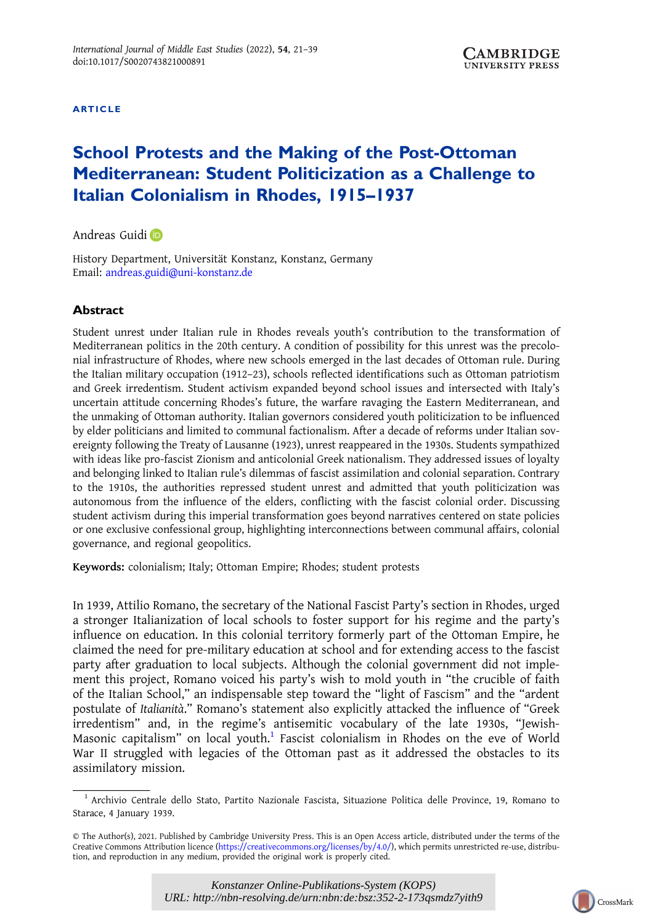ARTICLE

# School Protests and the Making of the Post-Ottoman Mediterranean: Student Politicization as a Challenge to Italian Colonialism in Rhodes, 1915–1937

Andreas Guidi

History Department, Universität Konstanz, Konstanz, Germany Email: [andreas.guidi@uni-konstanz.de](mailto:andreas.guidi@uni-konstanz.de)

## Abstract

Student unrest under Italian rule in Rhodes reveals youth's contribution to the transformation of Mediterranean politics in the 20th century. A condition of possibility for this unrest was the precolonial infrastructure of Rhodes, where new schools emerged in the last decades of Ottoman rule. During the Italian military occupation (1912–23), schools reflected identifications such as Ottoman patriotism and Greek irredentism. Student activism expanded beyond school issues and intersected with Italy's uncertain attitude concerning Rhodes's future, the warfare ravaging the Eastern Mediterranean, and the unmaking of Ottoman authority. Italian governors considered youth politicization to be influenced by elder politicians and limited to communal factionalism. After a decade of reforms under Italian sovereignty following the Treaty of Lausanne (1923), unrest reappeared in the 1930s. Students sympathized with ideas like pro-fascist Zionism and anticolonial Greek nationalism. They addressed issues of loyalty and belonging linked to Italian rule's dilemmas of fascist assimilation and colonial separation. Contrary to the 1910s, the authorities repressed student unrest and admitted that youth politicization was autonomous from the influence of the elders, conflicting with the fascist colonial order. Discussing student activism during this imperial transformation goes beyond narratives centered on state policies or one exclusive confessional group, highlighting interconnections between communal affairs, colonial governance, and regional geopolitics.

Keywords: colonialism; Italy; Ottoman Empire; Rhodes; student protests

In 1939, Attilio Romano, the secretary of the National Fascist Party's section in Rhodes, urged a stronger Italianization of local schools to foster support for his regime and the party's influence on education. In this colonial territory formerly part of the Ottoman Empire, he claimed the need for pre-military education at school and for extending access to the fascist party after graduation to local subjects. Although the colonial government did not implement this project, Romano voiced his party's wish to mold youth in "the crucible of faith of the Italian School," an indispensable step toward the "light of Fascism" and the "ardent postulate of Italianità." Romano's statement also explicitly attacked the influence of "Greek irredentism" and, in the regime's antisemitic vocabulary of the late 1930s, "Jewish-Masonic capitalism" on local youth.<sup>1</sup> Fascist colonialism in Rhodes on the eve of World War II struggled with legacies of the Ottoman past as it addressed the obstacles to its assimilatory mission.

<sup>1</sup> Archivio Centrale dello Stato, Partito Nazionale Fascista, Situazione Politica delle Province, 19, Romano to Starace, 4 January 1939.

<sup>©</sup> The Author(s), 2021. Published by Cambridge University Press. This is an Open Access article, distributed under the terms of the Creative Commons Attribution licence [\(https://creativecommons.org/licenses/by/4.0/\)](https://creativecommons.org/licenses/by/4.0/), which permits unrestricted re-use, distribution, and reproduction in any medium, provided the original work is properly cited.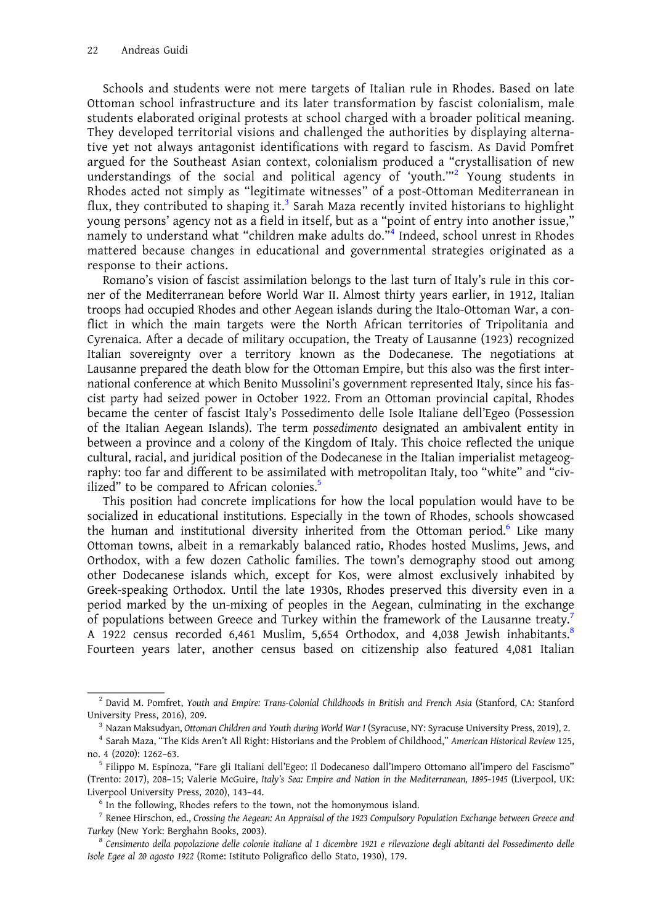Schools and students were not mere targets of Italian rule in Rhodes. Based on late Ottoman school infrastructure and its later transformation by fascist colonialism, male students elaborated original protests at school charged with a broader political meaning. They developed territorial visions and challenged the authorities by displaying alternative yet not always antagonist identifications with regard to fascism. As David Pomfret argued for the Southeast Asian context, colonialism produced a "crystallisation of new understandings of the social and political agency of 'youth."<sup>2</sup> Young students in Rhodes acted not simply as "legitimate witnesses" of a post-Ottoman Mediterranean in flux, they contributed to shaping it.<sup>3</sup> Sarah Maza recently invited historians to highlight young persons' agency not as a field in itself, but as a "point of entry into another issue," namely to understand what "children make adults do."<sup>4</sup> Indeed, school unrest in Rhodes mattered because changes in educational and governmental strategies originated as a response to their actions.

Romano's vision of fascist assimilation belongs to the last turn of Italy's rule in this corner of the Mediterranean before World War II. Almost thirty years earlier, in 1912, Italian troops had occupied Rhodes and other Aegean islands during the Italo-Ottoman War, a conflict in which the main targets were the North African territories of Tripolitania and Cyrenaica. After a decade of military occupation, the Treaty of Lausanne (1923) recognized Italian sovereignty over a territory known as the Dodecanese. The negotiations at Lausanne prepared the death blow for the Ottoman Empire, but this also was the first international conference at which Benito Mussolini's government represented Italy, since his fascist party had seized power in October 1922. From an Ottoman provincial capital, Rhodes became the center of fascist Italy's Possedimento delle Isole Italiane dell'Egeo (Possession of the Italian Aegean Islands). The term possedimento designated an ambivalent entity in between a province and a colony of the Kingdom of Italy. This choice reflected the unique cultural, racial, and juridical position of the Dodecanese in the Italian imperialist metageography: too far and different to be assimilated with metropolitan Italy, too "white" and "civilized" to be compared to African colonies.<sup>5</sup>

This position had concrete implications for how the local population would have to be socialized in educational institutions. Especially in the town of Rhodes, schools showcased the human and institutional diversity inherited from the Ottoman period.<sup>6</sup> Like many Ottoman towns, albeit in a remarkably balanced ratio, Rhodes hosted Muslims, Jews, and Orthodox, with a few dozen Catholic families. The town's demography stood out among other Dodecanese islands which, except for Kos, were almost exclusively inhabited by Greek-speaking Orthodox. Until the late 1930s, Rhodes preserved this diversity even in a period marked by the un-mixing of peoples in the Aegean, culminating in the exchange of populations between Greece and Turkey within the framework of the Lausanne treaty.<sup>7</sup> A 1922 census recorded 6,461 Muslim, 5,654 Orthodox, and 4,038 Jewish inhabitants.<sup>8</sup> Fourteen years later, another census based on citizenship also featured 4,081 Italian

 $^2$  David M. Pomfret, Youth and Empire: Trans-Colonial Childhoods in British and French Asia (Stanford, CA: Stanford

University Press, 2016), 209.<br><sup>3</sup> Nazan Maksudyan, *Ottoman Children and Youth during World War I* (Syracuse, NY: Syracuse University Press, 2019), 2.<br><sup>4</sup> Sarah Maza, "The Kids Aren't All Right: Historians and the Problem

no. 4 (2020): 1262–63. <sup>5</sup> Filippo M. Espinoza, "Fare gli Italiani dell'Egeo: Il Dodecaneso dall'Impero Ottomano all'impero del Fascismo" (Trento: 2017), 208–15; Valerie McGuire, Italy's Sea: Empire and Nation in the Mediterranean, 1895–1945 (Liverpool, UK: Liverpool University Press, 2020), 143–44. **6 In the following, Rhodes refers to the town**, not the homonymous island.

 $^7$  Renee Hirschon, ed., Crossing the Aegean: An Appraisal of the 1923 Compulsory Population Exchange between Greece and Turkey (New York: Berghahn Books, 2003).<br><sup>8</sup> Censimento della popolazione delle colonie italiane al 1 dicembre 1921 e rilevazione degli abitanti del Possedimento delle

Isole Egee al 20 agosto 1922 (Rome: Istituto Poligrafico dello Stato, 1930), 179.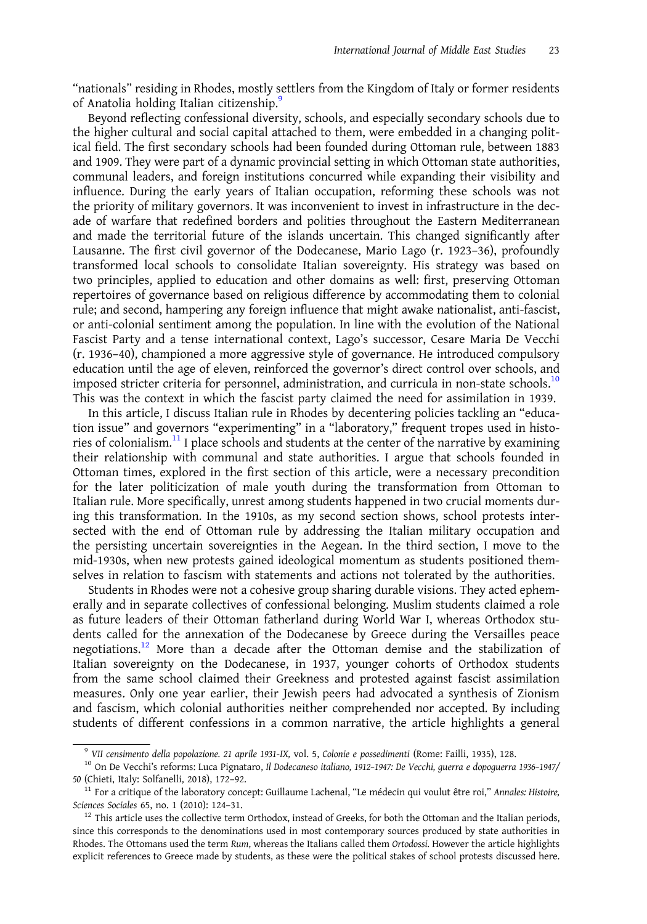"nationals" residing in Rhodes, mostly settlers from the Kingdom of Italy or former residents of Anatolia holding Italian citizenship.<sup>9</sup>

Beyond reflecting confessional diversity, schools, and especially secondary schools due to the higher cultural and social capital attached to them, were embedded in a changing political field. The first secondary schools had been founded during Ottoman rule, between 1883 and 1909. They were part of a dynamic provincial setting in which Ottoman state authorities, communal leaders, and foreign institutions concurred while expanding their visibility and influence. During the early years of Italian occupation, reforming these schools was not the priority of military governors. It was inconvenient to invest in infrastructure in the decade of warfare that redefined borders and polities throughout the Eastern Mediterranean and made the territorial future of the islands uncertain. This changed significantly after Lausanne. The first civil governor of the Dodecanese, Mario Lago (r. 1923–36), profoundly transformed local schools to consolidate Italian sovereignty. His strategy was based on two principles, applied to education and other domains as well: first, preserving Ottoman repertoires of governance based on religious difference by accommodating them to colonial rule; and second, hampering any foreign influence that might awake nationalist, anti-fascist, or anti-colonial sentiment among the population. In line with the evolution of the National Fascist Party and a tense international context, Lago's successor, Cesare Maria De Vecchi (r. 1936–40), championed a more aggressive style of governance. He introduced compulsory education until the age of eleven, reinforced the governor's direct control over schools, and imposed stricter criteria for personnel, administration, and curricula in non-state schools.<sup>10</sup> This was the context in which the fascist party claimed the need for assimilation in 1939.

In this article, I discuss Italian rule in Rhodes by decentering policies tackling an "education issue" and governors "experimenting" in a "laboratory," frequent tropes used in histories of colonialism. $11$  I place schools and students at the center of the narrative by examining their relationship with communal and state authorities. I argue that schools founded in Ottoman times, explored in the first section of this article, were a necessary precondition for the later politicization of male youth during the transformation from Ottoman to Italian rule. More specifically, unrest among students happened in two crucial moments during this transformation. In the 1910s, as my second section shows, school protests intersected with the end of Ottoman rule by addressing the Italian military occupation and the persisting uncertain sovereignties in the Aegean. In the third section, I move to the mid-1930s, when new protests gained ideological momentum as students positioned themselves in relation to fascism with statements and actions not tolerated by the authorities.

Students in Rhodes were not a cohesive group sharing durable visions. They acted ephemerally and in separate collectives of confessional belonging. Muslim students claimed a role as future leaders of their Ottoman fatherland during World War I, whereas Orthodox students called for the annexation of the Dodecanese by Greece during the Versailles peace negotiations.<sup>12</sup> More than a decade after the Ottoman demise and the stabilization of Italian sovereignty on the Dodecanese, in 1937, younger cohorts of Orthodox students from the same school claimed their Greekness and protested against fascist assimilation measures. Only one year earlier, their Jewish peers had advocated a synthesis of Zionism and fascism, which colonial authorities neither comprehended nor accepted. By including students of different confessions in a common narrative, the article highlights a general

<sup>&</sup>lt;sup>9</sup> VII censimento della popolazione. 21 aprile 1931-IX, vol. 5, Colonie e possedimenti (Rome: Failli, 1935), 128.<br><sup>10</sup> On De Vecchi's reforms: Luca Pignataro, Il Dodecaneso italiano, 1912-1947: De Vecchi, guerra e dopogue 50 (Chieti, Italy: Solfanelli, 2018), 172–92.<br><sup>11</sup> For a critique of the laboratory concept: Guillaume Lachenal, "Le médecin qui voulut être roi," Annales: Histoire,

Sciences Sociales 65, no. 1 (2010): 124–31.<br><sup>12</sup> This article uses the collective term Orthodox, instead of Greeks, for both the Ottoman and the Italian periods,

since this corresponds to the denominations used in most contemporary sources produced by state authorities in Rhodes. The Ottomans used the term Rum, whereas the Italians called them Ortodossi. However the article highlights explicit references to Greece made by students, as these were the political stakes of school protests discussed here.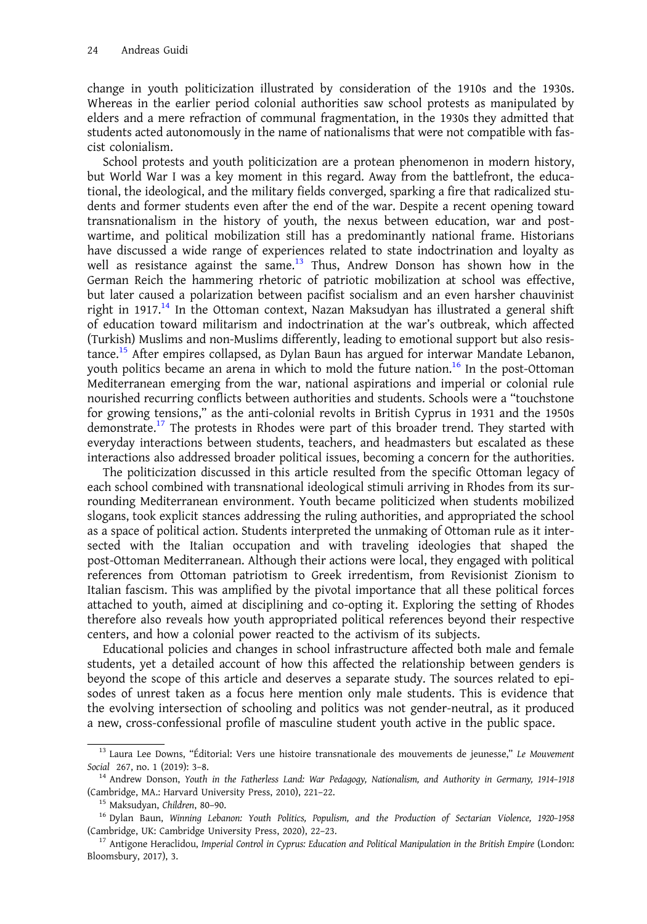change in youth politicization illustrated by consideration of the 1910s and the 1930s. Whereas in the earlier period colonial authorities saw school protests as manipulated by elders and a mere refraction of communal fragmentation, in the 1930s they admitted that students acted autonomously in the name of nationalisms that were not compatible with fascist colonialism.

School protests and youth politicization are a protean phenomenon in modern history, but World War I was a key moment in this regard. Away from the battlefront, the educational, the ideological, and the military fields converged, sparking a fire that radicalized students and former students even after the end of the war. Despite a recent opening toward transnationalism in the history of youth, the nexus between education, war and postwartime, and political mobilization still has a predominantly national frame. Historians have discussed a wide range of experiences related to state indoctrination and loyalty as well as resistance against the same.<sup>13</sup> Thus, Andrew Donson has shown how in the German Reich the hammering rhetoric of patriotic mobilization at school was effective, but later caused a polarization between pacifist socialism and an even harsher chauvinist right in 1917.<sup>14</sup> In the Ottoman context, Nazan Maksudyan has illustrated a general shift of education toward militarism and indoctrination at the war's outbreak, which affected (Turkish) Muslims and non-Muslims differently, leading to emotional support but also resistance.<sup>15</sup> After empires collapsed, as Dylan Baun has argued for interwar Mandate Lebanon, youth politics became an arena in which to mold the future nation.<sup>16</sup> In the post-Ottoman Mediterranean emerging from the war, national aspirations and imperial or colonial rule nourished recurring conflicts between authorities and students. Schools were a "touchstone for growing tensions," as the anti-colonial revolts in British Cyprus in 1931 and the 1950s demonstrate.<sup>17</sup> The protests in Rhodes were part of this broader trend. They started with everyday interactions between students, teachers, and headmasters but escalated as these interactions also addressed broader political issues, becoming a concern for the authorities.

The politicization discussed in this article resulted from the specific Ottoman legacy of each school combined with transnational ideological stimuli arriving in Rhodes from its surrounding Mediterranean environment. Youth became politicized when students mobilized slogans, took explicit stances addressing the ruling authorities, and appropriated the school as a space of political action. Students interpreted the unmaking of Ottoman rule as it intersected with the Italian occupation and with traveling ideologies that shaped the post-Ottoman Mediterranean. Although their actions were local, they engaged with political references from Ottoman patriotism to Greek irredentism, from Revisionist Zionism to Italian fascism. This was amplified by the pivotal importance that all these political forces attached to youth, aimed at disciplining and co-opting it. Exploring the setting of Rhodes therefore also reveals how youth appropriated political references beyond their respective centers, and how a colonial power reacted to the activism of its subjects.

Educational policies and changes in school infrastructure affected both male and female students, yet a detailed account of how this affected the relationship between genders is beyond the scope of this article and deserves a separate study. The sources related to episodes of unrest taken as a focus here mention only male students. This is evidence that the evolving intersection of schooling and politics was not gender-neutral, as it produced a new, cross-confessional profile of masculine student youth active in the public space.

<sup>&</sup>lt;sup>13</sup> Laura Lee Downs, "Éditorial: Vers une histoire transnationale des mouvements de jeunesse," Le Mouvement Social 267, no. 1 (2019): 3–8.<br><sup>14</sup> Andrew Donson, Youth in the Fatherless Land: War Pedagogy, Nationalism, and Authority in Germany, 1914–1918

<sup>(</sup>Cambridge, MA.: Harvard University Press, 2010), 221–22.<br><sup>15</sup> Maksudyan, Children, 80–90.<br><sup>16</sup> Dylan Baun, *Winning Lebanon: Youth Politics, Populism, and the Production of Sectarian Violence, 1920–1958* 

<sup>(</sup>Cambridge, UK: Cambridge University Press, 2020), 22-23.<br><sup>17</sup> Antigone Heraclidou, *Imperial Control in Cyprus: Education and Political Manipulation in the British Empire* (London: Bloomsbury, 2017), 3.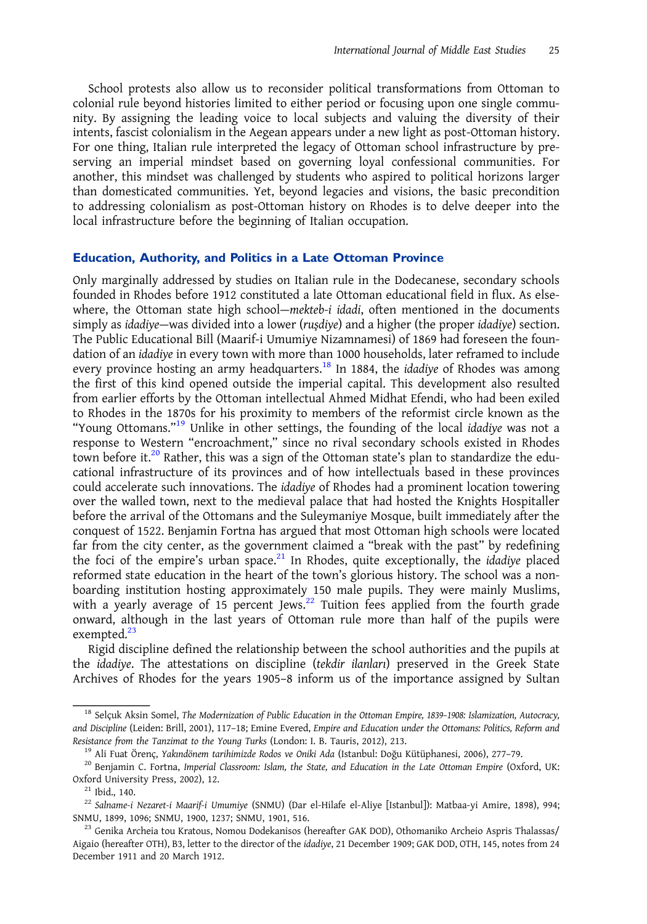School protests also allow us to reconsider political transformations from Ottoman to colonial rule beyond histories limited to either period or focusing upon one single community. By assigning the leading voice to local subjects and valuing the diversity of their intents, fascist colonialism in the Aegean appears under a new light as post-Ottoman history. For one thing, Italian rule interpreted the legacy of Ottoman school infrastructure by preserving an imperial mindset based on governing loyal confessional communities. For another, this mindset was challenged by students who aspired to political horizons larger than domesticated communities. Yet, beyond legacies and visions, the basic precondition to addressing colonialism as post-Ottoman history on Rhodes is to delve deeper into the local infrastructure before the beginning of Italian occupation.

#### Education, Authority, and Politics in a Late Ottoman Province

Only marginally addressed by studies on Italian rule in the Dodecanese, secondary schools founded in Rhodes before 1912 constituted a late Ottoman educational field in flux. As elsewhere, the Ottoman state high school—mekteb-i idadi, often mentioned in the documents simply as idadiye—was divided into a lower (ruşdiye) and a higher (the proper idadiye) section. The Public Educational Bill (Maarif-i Umumiye Nizamnamesi) of 1869 had foreseen the foundation of an idadiye in every town with more than 1000 households, later reframed to include every province hosting an army headquarters.<sup>18</sup> In 1884, the *idadiye* of Rhodes was among the first of this kind opened outside the imperial capital. This development also resulted from earlier efforts by the Ottoman intellectual Ahmed Midhat Efendi, who had been exiled to Rhodes in the 1870s for his proximity to members of the reformist circle known as the "Young Ottomans."<sup>19</sup> Unlike in other settings, the founding of the local idadiye was not a response to Western "encroachment," since no rival secondary schools existed in Rhodes town before it.<sup>20</sup> Rather, this was a sign of the Ottoman state's plan to standardize the educational infrastructure of its provinces and of how intellectuals based in these provinces could accelerate such innovations. The idadiye of Rhodes had a prominent location towering over the walled town, next to the medieval palace that had hosted the Knights Hospitaller before the arrival of the Ottomans and the Suleymaniye Mosque, built immediately after the conquest of 1522. Benjamin Fortna has argued that most Ottoman high schools were located far from the city center, as the government claimed a "break with the past" by redefining the foci of the empire's urban space.<sup>21</sup> In Rhodes, quite exceptionally, the *idadiye* placed reformed state education in the heart of the town's glorious history. The school was a nonboarding institution hosting approximately 150 male pupils. They were mainly Muslims, with a yearly average of 15 percent Jews.<sup>22</sup> Tuition fees applied from the fourth grade onward, although in the last years of Ottoman rule more than half of the pupils were exempted.<sup>23</sup>

Rigid discipline defined the relationship between the school authorities and the pupils at the idadiye. The attestations on discipline (tekdir ilanları) preserved in the Greek State Archives of Rhodes for the years 1905–8 inform us of the importance assigned by Sultan

<sup>&</sup>lt;sup>18</sup> Selçuk Aksin Somel, The Modernization of Public Education in the Ottoman Empire, 1839-1908: Islamization, Autocracy, and Discipline (Leiden: Brill, 2001), 117–18; Emine Evered, Empire and Education under the Ottomans: Politics, Reform and Resistance from the Tanzimat to the Young Turks (London: I. B. Tauris, 2012), 213.<br><sup>19</sup> Ali Fuat Örenç, Yakındönem tarihimizde Rodos ve Oniki Ada (Istanbul: Doğu Kütüphanesi, 2006), 277-79.<br><sup>20</sup> Benjamin C. Fortna, Imperia

Oxford University Press, 2002), 12.<br><sup>21</sup> Ibid., 140.<br><sup>22</sup> Salname-i Nezaret-i Maarif-i Umumiye (SNMU) (Dar el-Hilafe el-Aliye [Istanbul]): Matbaa-yi Amire, 1898), 994;<br>SNMU, 1899, 1096; SNMU, 1900, 1237; SNMU, 1901, 516.

 $^{23}$  Genika Archeia tou Kratous, Nomou Dodekanisos (hereafter GAK DOD), Othomaniko Archeio Aspris Thalassas/ Aigaio (hereafter OTH), B3, letter to the director of the idadiye, 21 December 1909; GAK DOD, OTH, 145, notes from 24 December 1911 and 20 March 1912.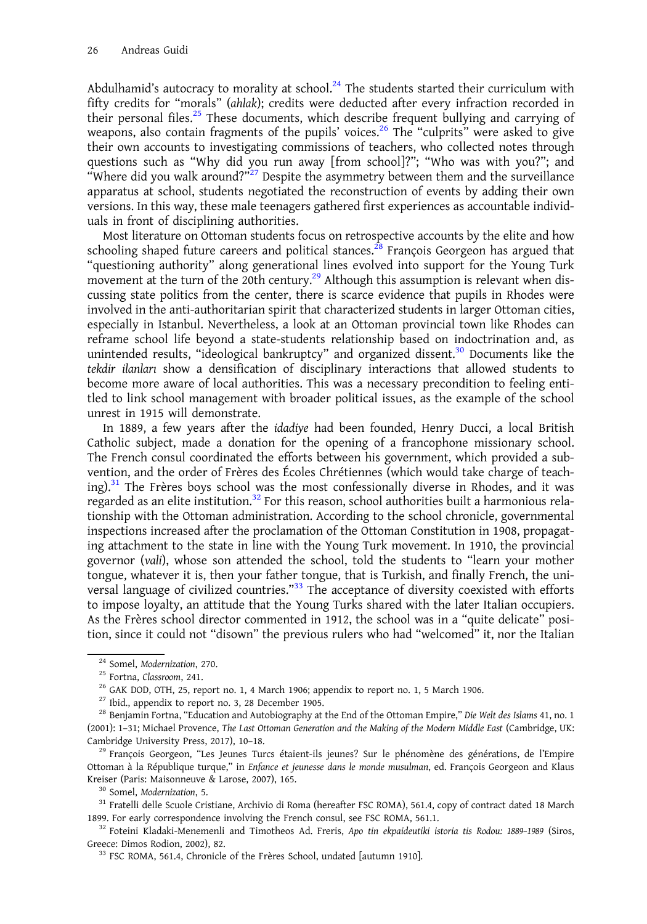Abdulhamid's autocracy to morality at school. $^{24}$  The students started their curriculum with fifty credits for "morals" (ahlak); credits were deducted after every infraction recorded in their personal files.<sup>25</sup> These documents, which describe frequent bullying and carrying of weapons, also contain fragments of the pupils' voices.<sup>26</sup> The "culprits" were asked to give their own accounts to investigating commissions of teachers, who collected notes through questions such as "Why did you run away [from school]?"; "Who was with you?"; and "Where did you walk around?"<sup>27</sup> Despite the asymmetry between them and the surveillance apparatus at school, students negotiated the reconstruction of events by adding their own versions. In this way, these male teenagers gathered first experiences as accountable individuals in front of disciplining authorities.

Most literature on Ottoman students focus on retrospective accounts by the elite and how schooling shaped future careers and political stances.<sup>28</sup> François Georgeon has argued that "questioning authority" along generational lines evolved into support for the Young Turk movement at the turn of the 20th century.<sup>29</sup> Although this assumption is relevant when discussing state politics from the center, there is scarce evidence that pupils in Rhodes were involved in the anti-authoritarian spirit that characterized students in larger Ottoman cities, especially in Istanbul. Nevertheless, a look at an Ottoman provincial town like Rhodes can reframe school life beyond a state-students relationship based on indoctrination and, as unintended results, "ideological bankruptcy" and organized dissent. $30$  Documents like the tekdir ilanları show a densification of disciplinary interactions that allowed students to become more aware of local authorities. This was a necessary precondition to feeling entitled to link school management with broader political issues, as the example of the school unrest in 1915 will demonstrate.

In 1889, a few years after the idadiye had been founded, Henry Ducci, a local British Catholic subject, made a donation for the opening of a francophone missionary school. The French consul coordinated the efforts between his government, which provided a subvention, and the order of Frères des Écoles Chrétiennes (which would take charge of teaching). $31$  The Frères boys school was the most confessionally diverse in Rhodes, and it was regarded as an elite institution. $32$  For this reason, school authorities built a harmonious relationship with the Ottoman administration. According to the school chronicle, governmental inspections increased after the proclamation of the Ottoman Constitution in 1908, propagating attachment to the state in line with the Young Turk movement. In 1910, the provincial governor (vali), whose son attended the school, told the students to "learn your mother tongue, whatever it is, then your father tongue, that is Turkish, and finally French, the universal language of civilized countries."<sup>33</sup> The acceptance of diversity coexisted with efforts to impose loyalty, an attitude that the Young Turks shared with the later Italian occupiers. As the Frères school director commented in 1912, the school was in a "quite delicate" position, since it could not "disown" the previous rulers who had "welcomed" it, nor the Italian

<sup>&</sup>lt;sup>24</sup> Somel, *Modernization*, 270.<br><sup>25</sup> Fortna, *Classroom*, 241.<br><sup>26</sup> GAK DOD, OTH, 25, report no. 1, 4 March 1906; appendix to report no. 1, 5 March 1906.<br><sup>27</sup> Ibid., appendix to report no. 3, 28 December 1905.<br><sup>28</sup> Benj (2001): 1–31; Michael Provence, The Last Ottoman Generation and the Making of the Modern Middle East (Cambridge, UK: Cambridge University Press, 2017), 10–18.<br><sup>29</sup> François Georgeon, "Les Jeunes Turcs étaient-ils jeunes? Sur le phénomène des générations, de l'Empire

Ottoman à la République turque," in Enfance et jeunesse dans le monde musulman, ed. François Georgeon and Klaus Kreiser (Paris: Maisonneuve & Larose, 2007), 165.<br><sup>30</sup> Somel, Modernization, 5.<br><sup>31</sup> Fratelli delle Scuole Cristiane, Archivio di Roma (hereafter FSC ROMA), 561.4, copy of contract dated 18 March

<sup>1899.</sup> For early correspondence involving the French consul, see FSC ROMA, 561.1.<br><sup>32</sup> Foteini Kladaki-Menemenli and Timotheos Ad. Freris, Apo tin ekpaideutiki istoria tis Rodou: 1889-1989 (Siros,

Greece: Dimos Rodion, 2002), 82.<br><sup>33</sup> FSC ROMA, 561.4, Chronicle of the Frères School, undated [autumn 1910].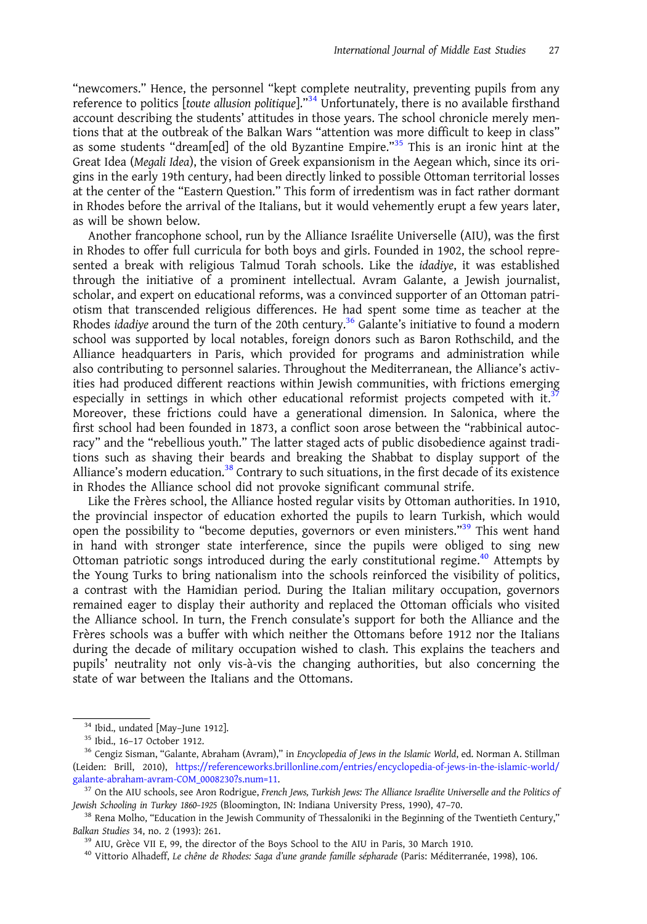"newcomers." Hence, the personnel "kept complete neutrality, preventing pupils from any reference to politics [toute allusion politique]."<sup>34</sup> Unfortunately, there is no available firsthand account describing the students' attitudes in those years. The school chronicle merely mentions that at the outbreak of the Balkan Wars "attention was more difficult to keep in class" as some students "dream[ed] of the old Byzantine Empire."<sup>35</sup> This is an ironic hint at the Great Idea (Megali Idea), the vision of Greek expansionism in the Aegean which, since its origins in the early 19th century, had been directly linked to possible Ottoman territorial losses at the center of the "Eastern Question." This form of irredentism was in fact rather dormant in Rhodes before the arrival of the Italians, but it would vehemently erupt a few years later, as will be shown below.

Another francophone school, run by the Alliance Israélite Universelle (AIU), was the first in Rhodes to offer full curricula for both boys and girls. Founded in 1902, the school represented a break with religious Talmud Torah schools. Like the idadiye, it was established through the initiative of a prominent intellectual. Avram Galante, a Jewish journalist, scholar, and expert on educational reforms, was a convinced supporter of an Ottoman patriotism that transcended religious differences. He had spent some time as teacher at the Rhodes idadiye around the turn of the 20th century.<sup>36</sup> Galante's initiative to found a modern school was supported by local notables, foreign donors such as Baron Rothschild, and the Alliance headquarters in Paris, which provided for programs and administration while also contributing to personnel salaries. Throughout the Mediterranean, the Alliance's activities had produced different reactions within Jewish communities, with frictions emerging especially in settings in which other educational reformist projects competed with it.<sup>37</sup> Moreover, these frictions could have a generational dimension. In Salonica, where the first school had been founded in 1873, a conflict soon arose between the "rabbinical autocracy" and the "rebellious youth." The latter staged acts of public disobedience against traditions such as shaving their beards and breaking the Shabbat to display support of the Alliance's modern education.<sup>38</sup> Contrary to such situations, in the first decade of its existence in Rhodes the Alliance school did not provoke significant communal strife.

Like the Frères school, the Alliance hosted regular visits by Ottoman authorities. In 1910, the provincial inspector of education exhorted the pupils to learn Turkish, which would open the possibility to "become deputies, governors or even ministers."<sup>39</sup> This went hand in hand with stronger state interference, since the pupils were obliged to sing new Ottoman patriotic songs introduced during the early constitutional regime.<sup>40</sup> Attempts by the Young Turks to bring nationalism into the schools reinforced the visibility of politics, a contrast with the Hamidian period. During the Italian military occupation, governors remained eager to display their authority and replaced the Ottoman officials who visited the Alliance school. In turn, the French consulate's support for both the Alliance and the Frères schools was a buffer with which neither the Ottomans before 1912 nor the Italians during the decade of military occupation wished to clash. This explains the teachers and pupils' neutrality not only vis-à-vis the changing authorities, but also concerning the state of war between the Italians and the Ottomans.

<sup>&</sup>lt;sup>34</sup> Ibid., undated [May–June 1912].<br><sup>35</sup> Ibid., 16–17 October 1912.<br><sup>36</sup> Cengiz Sisman, "Galante, Abraham (Avram)," in Encyclopedia of Jews in the Islamic World, ed. Norman A. Stillman (Leiden: Brill, 2010), [https://referenceworks.brillonline.com/entries/encyclopedia-of-jews-in-the-islamic-world/](https://referenceworks.brillonline.com/entries/encyclopedia-of-jews-in-the-islamic-world/galante-abraham-avram-COM_0008230?s.num=11) [galante-abraham-avram-COM\\_0008230?s.num=11](https://referenceworks.brillonline.com/entries/encyclopedia-of-jews-in-the-islamic-world/galante-abraham-avram-COM_0008230?s.num=11).<br><sup>37</sup> On the AIU schools, see Aron Rodrigue, French Jews, Turkish Jews: The Alliance Israélite Universelle and the Politics of

Jewish Schooling in Turkey 1860–1925 (Bloomington, IN: Indiana University Press, 1990), 47–70.<br><sup>38</sup> Rena Molho, "Education in the Jewish Community of Thessaloniki in the Beginning of the Twentieth Century,"<br>Balkan Studies

<sup>&</sup>lt;sup>39</sup> AIU, Grèce VII E, 99, the director of the Boys School to the AIU in Paris, 30 March 1910.<br><sup>40</sup> Vittorio Alhadeff, *Le chêne de Rhodes: Saga d'une grande famille sépharade* (Paris: Méditerranée, 1998), 106.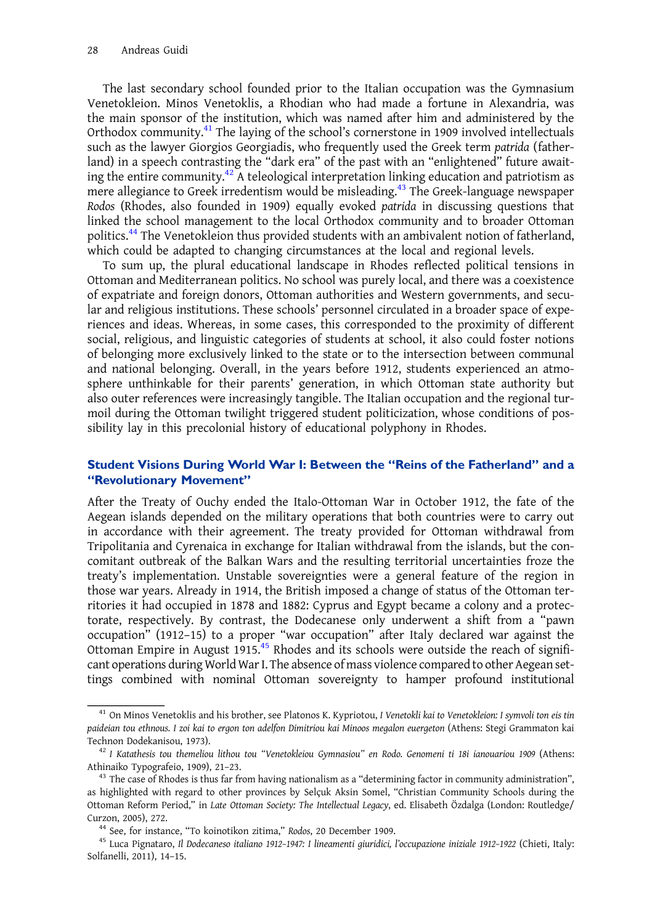The last secondary school founded prior to the Italian occupation was the Gymnasium Venetokleion. Minos Venetoklis, a Rhodian who had made a fortune in Alexandria, was the main sponsor of the institution, which was named after him and administered by the Orthodox community.<sup>41</sup> The laying of the school's cornerstone in 1909 involved intellectuals such as the lawyer Giorgios Georgiadis, who frequently used the Greek term patrida (fatherland) in a speech contrasting the "dark era" of the past with an "enlightened" future awaiting the entire community. $42$  A teleological interpretation linking education and patriotism as mere allegiance to Greek irredentism would be misleading.<sup>43</sup> The Greek-language newspaper Rodos (Rhodes, also founded in 1909) equally evoked patrida in discussing questions that linked the school management to the local Orthodox community and to broader Ottoman politics.<sup>44</sup> The Venetokleion thus provided students with an ambivalent notion of fatherland, which could be adapted to changing circumstances at the local and regional levels.

To sum up, the plural educational landscape in Rhodes reflected political tensions in Ottoman and Mediterranean politics. No school was purely local, and there was a coexistence of expatriate and foreign donors, Ottoman authorities and Western governments, and secular and religious institutions. These schools' personnel circulated in a broader space of experiences and ideas. Whereas, in some cases, this corresponded to the proximity of different social, religious, and linguistic categories of students at school, it also could foster notions of belonging more exclusively linked to the state or to the intersection between communal and national belonging. Overall, in the years before 1912, students experienced an atmosphere unthinkable for their parents' generation, in which Ottoman state authority but also outer references were increasingly tangible. The Italian occupation and the regional turmoil during the Ottoman twilight triggered student politicization, whose conditions of possibility lay in this precolonial history of educational polyphony in Rhodes.

#### Student Visions During World War I: Between the "Reins of the Fatherland" and a "Revolutionary Movement"

After the Treaty of Ouchy ended the Italo-Ottoman War in October 1912, the fate of the Aegean islands depended on the military operations that both countries were to carry out in accordance with their agreement. The treaty provided for Ottoman withdrawal from Tripolitania and Cyrenaica in exchange for Italian withdrawal from the islands, but the concomitant outbreak of the Balkan Wars and the resulting territorial uncertainties froze the treaty's implementation. Unstable sovereignties were a general feature of the region in those war years. Already in 1914, the British imposed a change of status of the Ottoman territories it had occupied in 1878 and 1882: Cyprus and Egypt became a colony and a protectorate, respectively. By contrast, the Dodecanese only underwent a shift from a "pawn occupation" (1912–15) to a proper "war occupation" after Italy declared war against the Ottoman Empire in August 1915.<sup>45</sup> Rhodes and its schools were outside the reach of significant operations during World War I. The absence of mass violence compared to other Aegean settings combined with nominal Ottoman sovereignty to hamper profound institutional

 $^{41}$  On Minos Venetoklis and his brother, see Platonos K. Kypriotou, I Venetokli kai to Venetokleion: I symvoli ton eis tin paideian tou ethnous. I zoi kai to ergon ton adelfon Dimitriou kai Minoos megalon euergeton (Athens: Stegi Grammaton kai Technon Dodekanisou, 1973).<br><sup>42</sup> I Katathesis tou themeliou lithou tou "Venetokleiou Gymnasiou" en Rodo. Genomeni ti 18i ianouariou 1909 (Athens:

Athinaiko Typografeio, 1909), 21-23.<br><sup>43</sup> The case of Rhodes is thus far from having nationalism as a "determining factor in community administration",

as highlighted with regard to other provinces by Selçuk Aksin Somel, "Christian Community Schools during the Ottoman Reform Period," in Late Ottoman Society: The Intellectual Legacy, ed. Elisabeth Özdalga (London: Routledge/<br>Curzon, 2005), 272.

<sup>&</sup>lt;sup>44</sup> See, for instance, "To koinotikon zitima," Rodos, 20 December 1909.<br><sup>45</sup> Luca Pignataro, *Il Dodecaneso italiano 1912-1947: I lineamenti giuridici, l'occupazione iniziale 1912-1922 (Chieti, Italy:* Solfanelli, 2011), 14–15.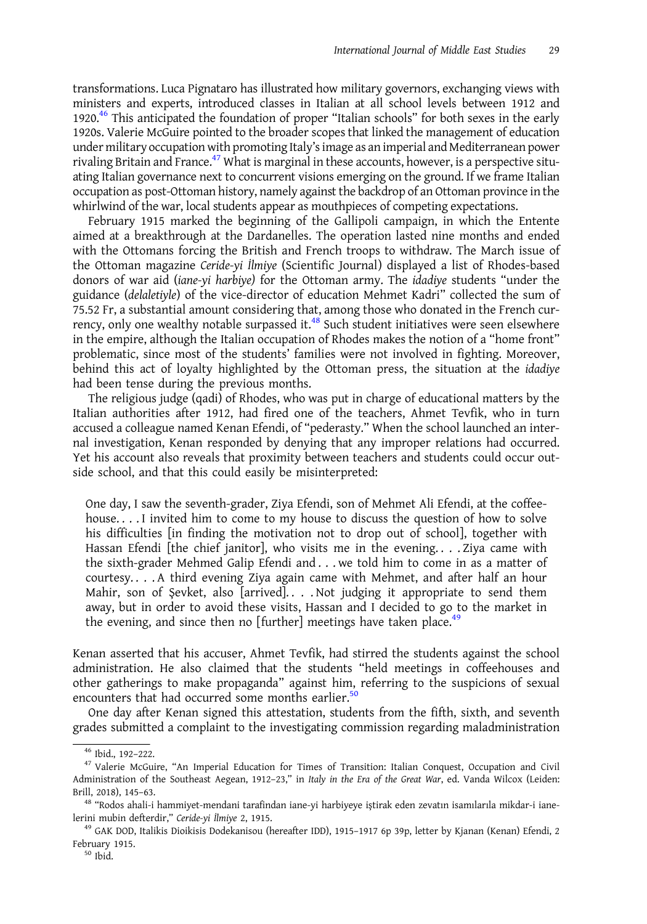transformations. Luca Pignataro has illustrated how military governors, exchanging views with ministers and experts, introduced classes in Italian at all school levels between 1912 and 1920.<sup>46</sup> This anticipated the foundation of proper "Italian schools" for both sexes in the early 1920s. Valerie McGuire pointed to the broader scopes that linked the management of education under military occupation with promoting Italy's image as an imperial and Mediterranean power rivaling Britain and France.<sup>47</sup> What is marginal in these accounts, however, is a perspective situating Italian governance next to concurrent visions emerging on the ground. If we frame Italian occupation as post-Ottoman history, namely against the backdrop of an Ottoman province in the whirlwind of the war, local students appear as mouthpieces of competing expectations.

February 1915 marked the beginning of the Gallipoli campaign, in which the Entente aimed at a breakthrough at the Dardanelles. The operation lasted nine months and ended with the Ottomans forcing the British and French troops to withdraw. The March issue of the Ottoman magazine Ceride-yi İlmiye (Scientific Journal) displayed a list of Rhodes-based donors of war aid (iane-yi harbiye) for the Ottoman army. The idadiye students "under the guidance (delaletiyle) of the vice-director of education Mehmet Kadri" collected the sum of 75.52 Fr, a substantial amount considering that, among those who donated in the French currency, only one wealthy notable surpassed it.<sup>48</sup> Such student initiatives were seen elsewhere in the empire, although the Italian occupation of Rhodes makes the notion of a "home front" problematic, since most of the students' families were not involved in fighting. Moreover, behind this act of loyalty highlighted by the Ottoman press, the situation at the idadiye had been tense during the previous months.

The religious judge (qadi) of Rhodes, who was put in charge of educational matters by the Italian authorities after 1912, had fired one of the teachers, Ahmet Tevfik, who in turn accused a colleague named Kenan Efendi, of "pederasty." When the school launched an internal investigation, Kenan responded by denying that any improper relations had occurred. Yet his account also reveals that proximity between teachers and students could occur outside school, and that this could easily be misinterpreted:

One day, I saw the seventh-grader, Ziya Efendi, son of Mehmet Ali Efendi, at the coffeehouse. . . . I invited him to come to my house to discuss the question of how to solve his difficulties [in finding the motivation not to drop out of school], together with Hassan Efendi [the chief janitor], who visits me in the evening. . . . Ziya came with the sixth-grader Mehmed Galip Efendi and . . . we told him to come in as a matter of courtesy. . . . A third evening Ziya again came with Mehmet, and after half an hour Mahir, son of Şevket, also [arrived]. . . . Not judging it appropriate to send them away, but in order to avoid these visits, Hassan and I decided to go to the market in the evening, and since then no [further] meetings have taken place.<sup>49</sup>

Kenan asserted that his accuser, Ahmet Tevfik, had stirred the students against the school administration. He also claimed that the students "held meetings in coffeehouses and other gatherings to make propaganda" against him, referring to the suspicions of sexual encounters that had occurred some months earlier.<sup>50</sup>

One day after Kenan signed this attestation, students from the fifth, sixth, and seventh grades submitted a complaint to the investigating commission regarding maladministration

 $46$  Ibid., 192–222.<br><sup>47</sup> Valerie McGuire, "An Imperial Education for Times of Transition: Italian Conquest, Occupation and Civil Administration of the Southeast Aegean, 1912–23," in Italy in the Era of the Great War, ed. Vanda Wilcox (Leiden: Brill, 2018), 145–63.<br><sup>48</sup> "Rodos ahali-i hammiyet-mendani tarafindan iane-yi harbiyeye iştirak eden zevatın isamılarıla mikdar-i iane-

lerini mubin defterdir," *Ceride-yi İlmiye 2*, 1915.<br><sup>49</sup> GAK DOD, Italikis Dioikisis Dodekanisou (hereafter IDD), 1915-1917 6p 39p, letter by Kjanan (Kenan) Efendi, 2

February 1915.<br><sup>50</sup> Ibid.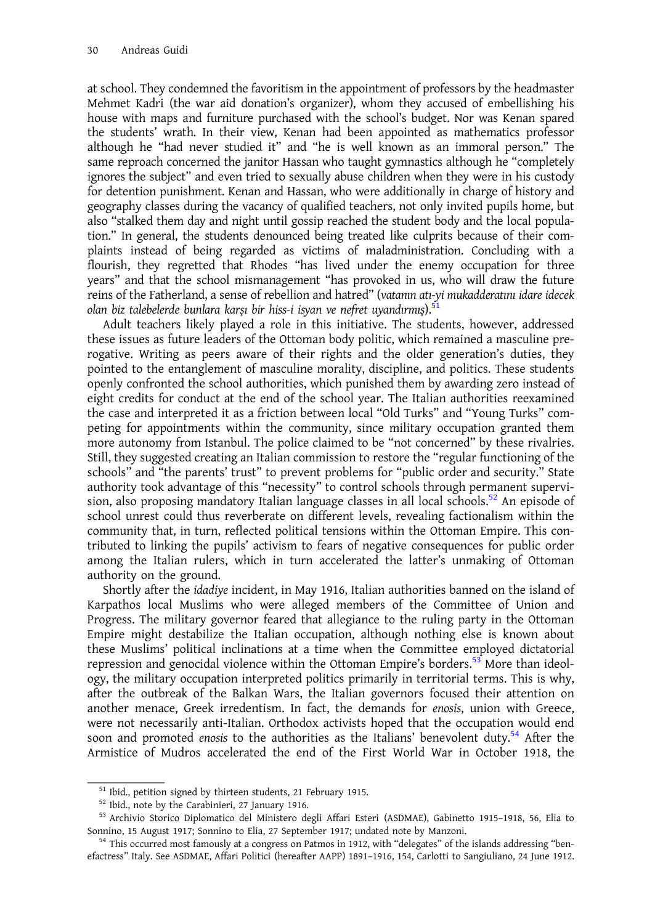at school. They condemned the favoritism in the appointment of professors by the headmaster Mehmet Kadri (the war aid donation's organizer), whom they accused of embellishing his house with maps and furniture purchased with the school's budget. Nor was Kenan spared the students' wrath. In their view, Kenan had been appointed as mathematics professor although he "had never studied it" and "he is well known as an immoral person." The same reproach concerned the janitor Hassan who taught gymnastics although he "completely ignores the subject" and even tried to sexually abuse children when they were in his custody for detention punishment. Kenan and Hassan, who were additionally in charge of history and geography classes during the vacancy of qualified teachers, not only invited pupils home, but also "stalked them day and night until gossip reached the student body and the local population." In general, the students denounced being treated like culprits because of their complaints instead of being regarded as victims of maladministration. Concluding with a flourish, they regretted that Rhodes "has lived under the enemy occupation for three years" and that the school mismanagement "has provoked in us, who will draw the future reins of the Fatherland, a sense of rebellion and hatred" (vatanın atı-yi mukadderatını idare idecek olan biz talebelerde bunlara karşı bir hiss-i isyan ve nefret uyandırmış).<sup>51</sup>

Adult teachers likely played a role in this initiative. The students, however, addressed these issues as future leaders of the Ottoman body politic, which remained a masculine prerogative. Writing as peers aware of their rights and the older generation's duties, they pointed to the entanglement of masculine morality, discipline, and politics. These students openly confronted the school authorities, which punished them by awarding zero instead of eight credits for conduct at the end of the school year. The Italian authorities reexamined the case and interpreted it as a friction between local "Old Turks" and "Young Turks" competing for appointments within the community, since military occupation granted them more autonomy from Istanbul. The police claimed to be "not concerned" by these rivalries. Still, they suggested creating an Italian commission to restore the "regular functioning of the schools" and "the parents' trust" to prevent problems for "public order and security." State authority took advantage of this "necessity" to control schools through permanent supervision, also proposing mandatory Italian language classes in all local schools.<sup>52</sup> An episode of school unrest could thus reverberate on different levels, revealing factionalism within the community that, in turn, reflected political tensions within the Ottoman Empire. This contributed to linking the pupils' activism to fears of negative consequences for public order among the Italian rulers, which in turn accelerated the latter's unmaking of Ottoman authority on the ground.

Shortly after the idadiye incident, in May 1916, Italian authorities banned on the island of Karpathos local Muslims who were alleged members of the Committee of Union and Progress. The military governor feared that allegiance to the ruling party in the Ottoman Empire might destabilize the Italian occupation, although nothing else is known about these Muslims' political inclinations at a time when the Committee employed dictatorial repression and genocidal violence within the Ottoman Empire's borders.<sup>53</sup> More than ideology, the military occupation interpreted politics primarily in territorial terms. This is why, after the outbreak of the Balkan Wars, the Italian governors focused their attention on another menace, Greek irredentism. In fact, the demands for enosis, union with Greece, were not necessarily anti-Italian. Orthodox activists hoped that the occupation would end soon and promoted *enosis* to the authorities as the Italians' benevolent duty.<sup>54</sup> After the Armistice of Mudros accelerated the end of the First World War in October 1918, the

<sup>&</sup>lt;sup>51</sup> Ibid., petition signed by thirteen students, 21 February 1915.<br><sup>52</sup> Ibid., note by the Carabinieri, 27 January 1916.<br><sup>53</sup> Archivio Storico Diplomatico del Ministero degli Affari Esteri (ASDMAE), Gabinetto 1915-1918, Sonnino, 15 August 1917; Sonnino to Elia, 27 September 1917; undated note by Manzoni.<br><sup>54</sup> This occurred most famously at a congress on Patmos in 1912, with "delegates" of the islands addressing "ben-

efactress" Italy. See ASDMAE, Affari Politici (hereafter AAPP) 1891–1916, 154, Carlotti to Sangiuliano, 24 June 1912.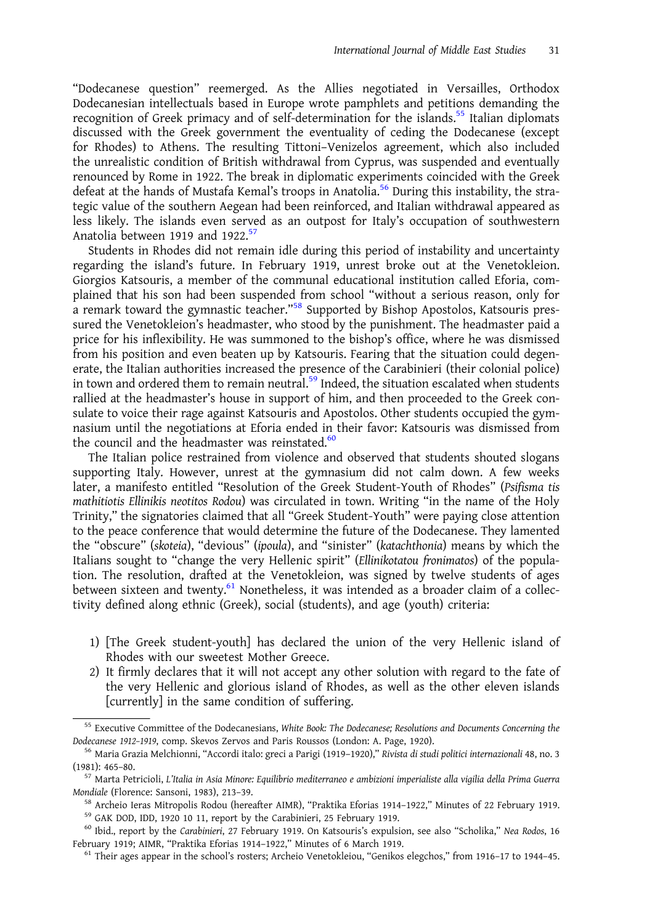"Dodecanese question" reemerged. As the Allies negotiated in Versailles, Orthodox Dodecanesian intellectuals based in Europe wrote pamphlets and petitions demanding the recognition of Greek primacy and of self-determination for the islands.<sup>55</sup> Italian diplomats discussed with the Greek government the eventuality of ceding the Dodecanese (except for Rhodes) to Athens. The resulting Tittoni–Venizelos agreement, which also included the unrealistic condition of British withdrawal from Cyprus, was suspended and eventually renounced by Rome in 1922. The break in diplomatic experiments coincided with the Greek defeat at the hands of Mustafa Kemal's troops in Anatolia.<sup>56</sup> During this instability, the strategic value of the southern Aegean had been reinforced, and Italian withdrawal appeared as less likely. The islands even served as an outpost for Italy's occupation of southwestern Anatolia between 1919 and 1922.<sup>57</sup>

Students in Rhodes did not remain idle during this period of instability and uncertainty regarding the island's future. In February 1919, unrest broke out at the Venetokleion. Giorgios Katsouris, a member of the communal educational institution called Eforia, complained that his son had been suspended from school "without a serious reason, only for a remark toward the gymnastic teacher."<sup>58</sup> Supported by Bishop Apostolos, Katsouris pressured the Venetokleion's headmaster, who stood by the punishment. The headmaster paid a price for his inflexibility. He was summoned to the bishop's office, where he was dismissed from his position and even beaten up by Katsouris. Fearing that the situation could degenerate, the Italian authorities increased the presence of the Carabinieri (their colonial police) in town and ordered them to remain neutral. $^{59}$  Indeed, the situation escalated when students rallied at the headmaster's house in support of him, and then proceeded to the Greek consulate to voice their rage against Katsouris and Apostolos. Other students occupied the gymnasium until the negotiations at Eforia ended in their favor: Katsouris was dismissed from the council and the headmaster was reinstated. $60$ 

The Italian police restrained from violence and observed that students shouted slogans supporting Italy. However, unrest at the gymnasium did not calm down. A few weeks later, a manifesto entitled "Resolution of the Greek Student-Youth of Rhodes" (Psifisma tis mathitiotis Ellinikis neotitos Rodou) was circulated in town. Writing "in the name of the Holy Trinity," the signatories claimed that all "Greek Student-Youth" were paying close attention to the peace conference that would determine the future of the Dodecanese. They lamented the "obscure" (skoteia), "devious" (ipoula), and "sinister" (katachthonia) means by which the Italians sought to "change the very Hellenic spirit" (Ellinikotatou fronimatos) of the population. The resolution, drafted at the Venetokleion, was signed by twelve students of ages between sixteen and twenty.<sup>61</sup> Nonetheless, it was intended as a broader claim of a collectivity defined along ethnic (Greek), social (students), and age (youth) criteria:

- 1) [The Greek student-youth] has declared the union of the very Hellenic island of Rhodes with our sweetest Mother Greece.
- 2) It firmly declares that it will not accept any other solution with regard to the fate of the very Hellenic and glorious island of Rhodes, as well as the other eleven islands [currently] in the same condition of suffering.

<sup>&</sup>lt;sup>55</sup> Executive Committee of the Dodecanesians, White Book: The Dodecanese; Resolutions and Documents Concerning the Dodecanese 1912–1919, comp. Skevos Zervos and Paris Roussos (London: A. Page, 1920).<br><sup>56</sup> Maria Grazia Melchionni, "Accordi italo: greci a Parigi (1919–1920)," Rivista di studi politici internazionali 48, no. 3

<sup>(1981): 465–80.&</sup>lt;br><sup>57</sup> Marta Petricioli, L'Italia in Asia Minore: Equilibrio mediterraneo e ambizioni imperialiste alla vigilia della Prima Guerra

Mondiale (Florence: Sansoni, 1983), 213-39.<br><sup>58</sup> Archeio Ieras Mitropolis Rodou (hereafter AIMR), "Praktika Eforias 1914-1922," Minutes of 22 February 1919.<br><sup>59</sup> GAK DOD, IDD, 1920 10 11, report by the Carabinieri, 25 Febr

February 1919; AIMR, "Praktika Eforias 1914–1922," Minutes of 6 March 1919.<br><sup>61</sup> Their ages appear in the school's rosters; Archeio Venetokleiou, "Genikos elegchos," from 1916–17 to 1944–45.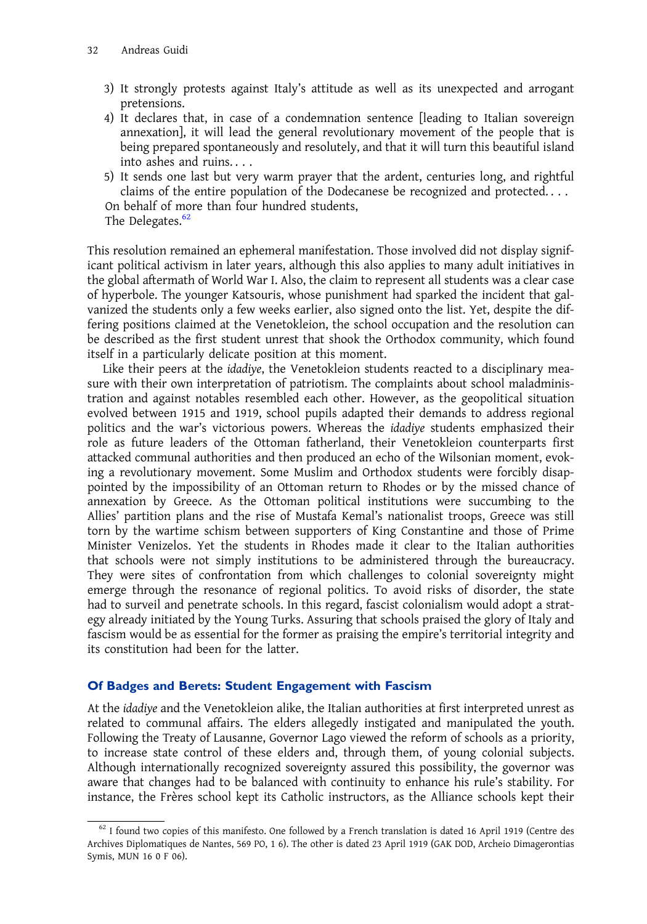- 3) It strongly protests against Italy's attitude as well as its unexpected and arrogant pretensions.
- 4) It declares that, in case of a condemnation sentence [leading to Italian sovereign annexation], it will lead the general revolutionary movement of the people that is being prepared spontaneously and resolutely, and that it will turn this beautiful island into ashes and ruins. . . .
- 5) It sends one last but very warm prayer that the ardent, centuries long, and rightful claims of the entire population of the Dodecanese be recognized and protected. . . . On behalf of more than four hundred students,

The Delegates. $62$ 

This resolution remained an ephemeral manifestation. Those involved did not display significant political activism in later years, although this also applies to many adult initiatives in the global aftermath of World War I. Also, the claim to represent all students was a clear case of hyperbole. The younger Katsouris, whose punishment had sparked the incident that galvanized the students only a few weeks earlier, also signed onto the list. Yet, despite the differing positions claimed at the Venetokleion, the school occupation and the resolution can be described as the first student unrest that shook the Orthodox community, which found itself in a particularly delicate position at this moment.

Like their peers at the idadiye, the Venetokleion students reacted to a disciplinary measure with their own interpretation of patriotism. The complaints about school maladministration and against notables resembled each other. However, as the geopolitical situation evolved between 1915 and 1919, school pupils adapted their demands to address regional politics and the war's victorious powers. Whereas the idadiye students emphasized their role as future leaders of the Ottoman fatherland, their Venetokleion counterparts first attacked communal authorities and then produced an echo of the Wilsonian moment, evoking a revolutionary movement. Some Muslim and Orthodox students were forcibly disappointed by the impossibility of an Ottoman return to Rhodes or by the missed chance of annexation by Greece. As the Ottoman political institutions were succumbing to the Allies' partition plans and the rise of Mustafa Kemal's nationalist troops, Greece was still torn by the wartime schism between supporters of King Constantine and those of Prime Minister Venizelos. Yet the students in Rhodes made it clear to the Italian authorities that schools were not simply institutions to be administered through the bureaucracy. They were sites of confrontation from which challenges to colonial sovereignty might emerge through the resonance of regional politics. To avoid risks of disorder, the state had to surveil and penetrate schools. In this regard, fascist colonialism would adopt a strategy already initiated by the Young Turks. Assuring that schools praised the glory of Italy and fascism would be as essential for the former as praising the empire's territorial integrity and its constitution had been for the latter.

### Of Badges and Berets: Student Engagement with Fascism

At the idadiye and the Venetokleion alike, the Italian authorities at first interpreted unrest as related to communal affairs. The elders allegedly instigated and manipulated the youth. Following the Treaty of Lausanne, Governor Lago viewed the reform of schools as a priority, to increase state control of these elders and, through them, of young colonial subjects. Although internationally recognized sovereignty assured this possibility, the governor was aware that changes had to be balanced with continuity to enhance his rule's stability. For instance, the Frères school kept its Catholic instructors, as the Alliance schools kept their

 $62$  I found two copies of this manifesto. One followed by a French translation is dated 16 April 1919 (Centre des Archives Diplomatiques de Nantes, 569 PO, 1 6). The other is dated 23 April 1919 (GAK DOD, Archeio Dimagerontias Symis, MUN 16 0 F 06).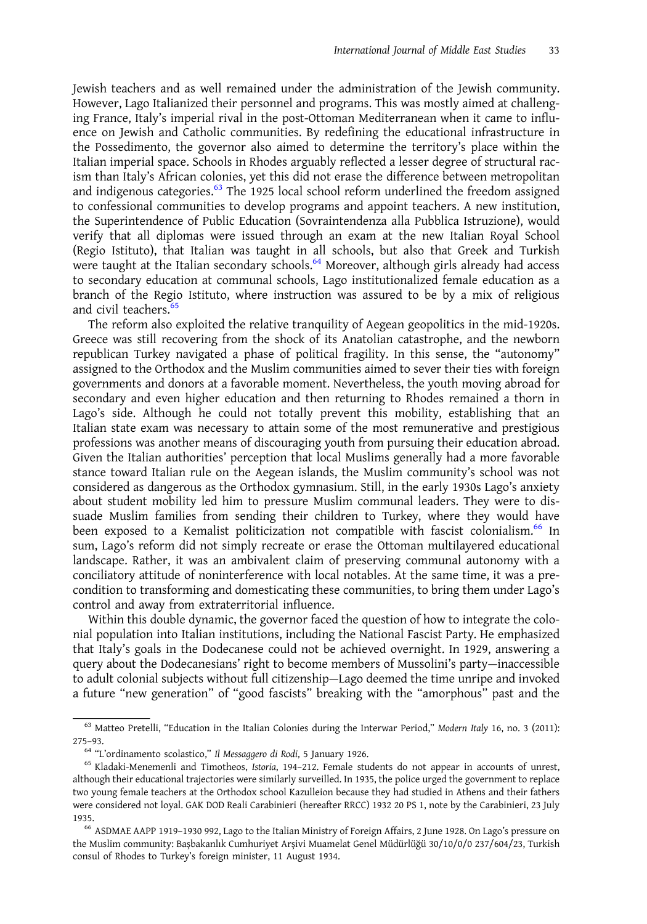Jewish teachers and as well remained under the administration of the Jewish community. However, Lago Italianized their personnel and programs. This was mostly aimed at challenging France, Italy's imperial rival in the post-Ottoman Mediterranean when it came to influence on Jewish and Catholic communities. By redefining the educational infrastructure in the Possedimento, the governor also aimed to determine the territory's place within the Italian imperial space. Schools in Rhodes arguably reflected a lesser degree of structural racism than Italy's African colonies, yet this did not erase the difference between metropolitan and indigenous categories. $63$  The 1925 local school reform underlined the freedom assigned to confessional communities to develop programs and appoint teachers. A new institution, the Superintendence of Public Education (Sovraintendenza alla Pubblica Istruzione), would verify that all diplomas were issued through an exam at the new Italian Royal School (Regio Istituto), that Italian was taught in all schools, but also that Greek and Turkish were taught at the Italian secondary schools.<sup>64</sup> Moreover, although girls already had access to secondary education at communal schools, Lago institutionalized female education as a branch of the Regio Istituto, where instruction was assured to be by a mix of religious and civil teachers.<sup>6</sup>

The reform also exploited the relative tranquility of Aegean geopolitics in the mid-1920s. Greece was still recovering from the shock of its Anatolian catastrophe, and the newborn republican Turkey navigated a phase of political fragility. In this sense, the "autonomy" assigned to the Orthodox and the Muslim communities aimed to sever their ties with foreign governments and donors at a favorable moment. Nevertheless, the youth moving abroad for secondary and even higher education and then returning to Rhodes remained a thorn in Lago's side. Although he could not totally prevent this mobility, establishing that an Italian state exam was necessary to attain some of the most remunerative and prestigious professions was another means of discouraging youth from pursuing their education abroad. Given the Italian authorities' perception that local Muslims generally had a more favorable stance toward Italian rule on the Aegean islands, the Muslim community's school was not considered as dangerous as the Orthodox gymnasium. Still, in the early 1930s Lago's anxiety about student mobility led him to pressure Muslim communal leaders. They were to dissuade Muslim families from sending their children to Turkey, where they would have been exposed to a Kemalist politicization not compatible with fascist colonialism.<sup>66</sup> In sum, Lago's reform did not simply recreate or erase the Ottoman multilayered educational landscape. Rather, it was an ambivalent claim of preserving communal autonomy with a conciliatory attitude of noninterference with local notables. At the same time, it was a precondition to transforming and domesticating these communities, to bring them under Lago's control and away from extraterritorial influence.

Within this double dynamic, the governor faced the question of how to integrate the colonial population into Italian institutions, including the National Fascist Party. He emphasized that Italy's goals in the Dodecanese could not be achieved overnight. In 1929, answering a query about the Dodecanesians' right to become members of Mussolini's party—inaccessible to adult colonial subjects without full citizenship—Lago deemed the time unripe and invoked a future "new generation" of "good fascists" breaking with the "amorphous" past and the

<sup>&</sup>lt;sup>63</sup> Matteo Pretelli, "Education in the Italian Colonies during the Interwar Period," Modern Italy 16, no. 3 (2011): 275-93.<br><sup>64</sup> "L'ordinamento scolastico," *Il Messaggero di Rodi*, 5 January 1926.

<sup>&</sup>lt;sup>65</sup> Kladaki-Menemenli and Timotheos, Istoria, 194-212. Female students do not appear in accounts of unrest, although their educational trajectories were similarly surveilled. In 1935, the police urged the government to replace two young female teachers at the Orthodox school Kazulleion because they had studied in Athens and their fathers were considered not loyal. GAK DOD Reali Carabinieri (hereafter RRCC) 1932 20 PS 1, note by the Carabinieri, 23 July

<sup>&</sup>lt;sup>66</sup> ASDMAE AAPP 1919-1930 992, Lago to the Italian Ministry of Foreign Affairs, 2 June 1928. On Lago's pressure on the Muslim community: Başbakanlık Cumhuriyet Arşivi Muamelat Genel Müdürlüğü 30/10/0/0 237/604/23, Turkish consul of Rhodes to Turkey's foreign minister, 11 August 1934.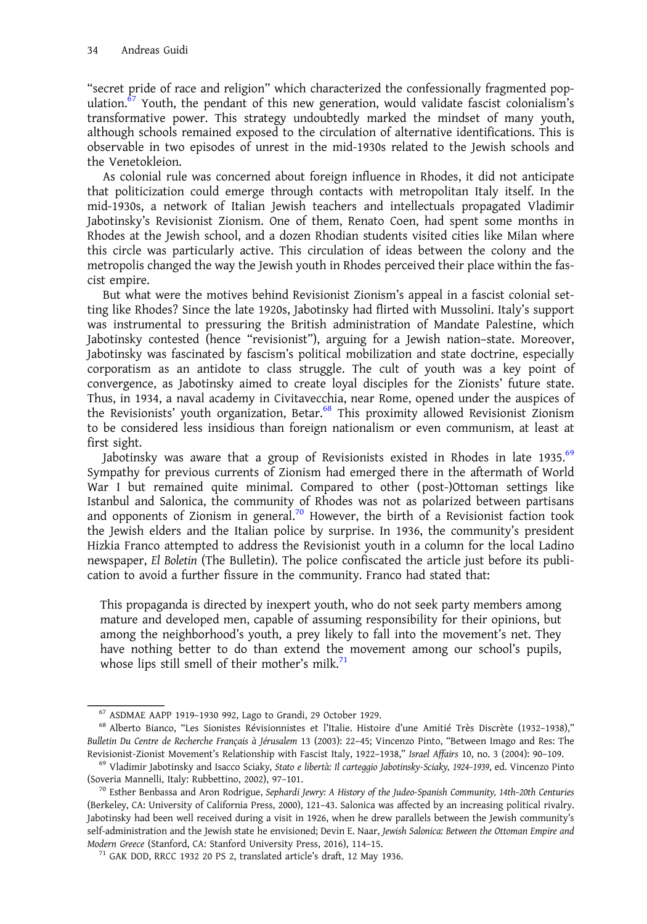"secret pride of race and religion" which characterized the confessionally fragmented population. $\frac{67}{ }$  Youth, the pendant of this new generation, would validate fascist colonialism's transformative power. This strategy undoubtedly marked the mindset of many youth, although schools remained exposed to the circulation of alternative identifications. This is observable in two episodes of unrest in the mid-1930s related to the Jewish schools and the Venetokleion.

As colonial rule was concerned about foreign influence in Rhodes, it did not anticipate that politicization could emerge through contacts with metropolitan Italy itself. In the mid-1930s, a network of Italian Jewish teachers and intellectuals propagated Vladimir Jabotinsky's Revisionist Zionism. One of them, Renato Coen, had spent some months in Rhodes at the Jewish school, and a dozen Rhodian students visited cities like Milan where this circle was particularly active. This circulation of ideas between the colony and the metropolis changed the way the Jewish youth in Rhodes perceived their place within the fascist empire.

But what were the motives behind Revisionist Zionism's appeal in a fascist colonial setting like Rhodes? Since the late 1920s, Jabotinsky had flirted with Mussolini. Italy's support was instrumental to pressuring the British administration of Mandate Palestine, which Jabotinsky contested (hence "revisionist"), arguing for a Jewish nation–state. Moreover, Jabotinsky was fascinated by fascism's political mobilization and state doctrine, especially corporatism as an antidote to class struggle. The cult of youth was a key point of convergence, as Jabotinsky aimed to create loyal disciples for the Zionists' future state. Thus, in 1934, a naval academy in Civitavecchia, near Rome, opened under the auspices of the Revisionists' youth organization, Betar.<sup>68</sup> This proximity allowed Revisionist Zionism to be considered less insidious than foreign nationalism or even communism, at least at first sight.

Jabotinsky was aware that a group of Revisionists existed in Rhodes in late 1935.<sup>69</sup> Sympathy for previous currents of Zionism had emerged there in the aftermath of World War I but remained quite minimal. Compared to other (post-)Ottoman settings like Istanbul and Salonica, the community of Rhodes was not as polarized between partisans and opponents of Zionism in general.<sup>70</sup> However, the birth of a Revisionist faction took the Jewish elders and the Italian police by surprise. In 1936, the community's president Hizkia Franco attempted to address the Revisionist youth in a column for the local Ladino newspaper, El Boletin (The Bulletin). The police confiscated the article just before its publication to avoid a further fissure in the community. Franco had stated that:

This propaganda is directed by inexpert youth, who do not seek party members among mature and developed men, capable of assuming responsibility for their opinions, but among the neighborhood's youth, a prey likely to fall into the movement's net. They have nothing better to do than extend the movement among our school's pupils, whose lips still smell of their mother's milk. $71$ 

 $^{67}$  ASDMAE AAPP 1919–1930 992, Lago to Grandi, 29 October 1929.<br> $^{68}$  Alberto Bianco, "Les Sionistes Révisionnistes et l'Italie. Histoire d'une Amitié Très Discrète (1932–1938)," Bulletin Du Centre de Recherche Français à Jérusalem 13 (2003): 22–45; Vincenzo Pinto, "Between Imago and Res: The Revisionist-Zionist Movement's Relationship with Fascist Italy, 1922-1938," Israel Affairs 10, no. 3 (2004): 90-109.<br><sup>69</sup> Vladimir Jabotinsky and Isacco Sciaky, *Stato e libertà: Il carteggio Jabotinsky-Sciaky, 1924-1939*,

<sup>(</sup>Soveria Mannelli, Italy: Rubbettino, 2002), 97-101.<br><sup>70</sup> Esther Benbassa and Aron Rodrigue, Sephardi Jewry: A History of the Judeo-Spanish Community, 14th-20th Centuries

<sup>(</sup>Berkeley, CA: University of California Press, 2000), 121–43. Salonica was affected by an increasing political rivalry. Jabotinsky had been well received during a visit in 1926, when he drew parallels between the Jewish community's self-administration and the Jewish state he envisioned; Devin E. Naar, Jewish Salonica: Between the Ottoman Empire and Modern Greece (Stanford, CA: Stanford University Press, 2016), 114–15. <sup>71</sup> GAK DOD, RRCC 1932 20 PS 2, translated article's draft, 12 May 1936.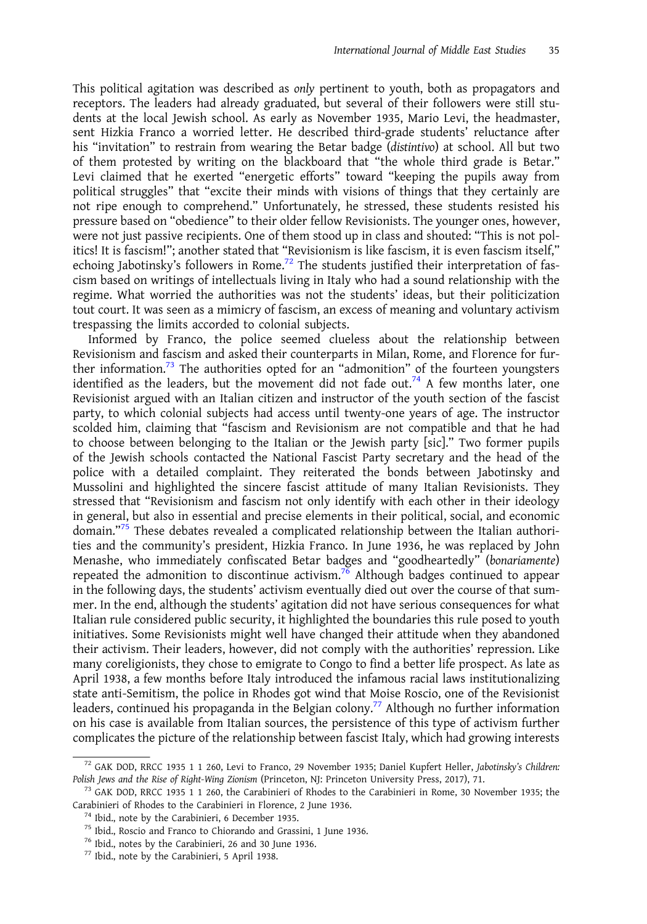This political agitation was described as only pertinent to youth, both as propagators and receptors. The leaders had already graduated, but several of their followers were still students at the local Jewish school. As early as November 1935, Mario Levi, the headmaster, sent Hizkia Franco a worried letter. He described third-grade students' reluctance after his "invitation" to restrain from wearing the Betar badge (distintivo) at school. All but two of them protested by writing on the blackboard that "the whole third grade is Betar." Levi claimed that he exerted "energetic efforts" toward "keeping the pupils away from political struggles" that "excite their minds with visions of things that they certainly are not ripe enough to comprehend." Unfortunately, he stressed, these students resisted his pressure based on "obedience" to their older fellow Revisionists. The younger ones, however, were not just passive recipients. One of them stood up in class and shouted: "This is not politics! It is fascism!"; another stated that "Revisionism is like fascism, it is even fascism itself," echoing Jabotinsky's followers in Rome.<sup>72</sup> The students justified their interpretation of fascism based on writings of intellectuals living in Italy who had a sound relationship with the regime. What worried the authorities was not the students' ideas, but their politicization tout court. It was seen as a mimicry of fascism, an excess of meaning and voluntary activism trespassing the limits accorded to colonial subjects.

Informed by Franco, the police seemed clueless about the relationship between Revisionism and fascism and asked their counterparts in Milan, Rome, and Florence for further information.<sup>73</sup> The authorities opted for an "admonition" of the fourteen youngsters identified as the leaders, but the movement did not fade out.<sup>74</sup> A few months later, one Revisionist argued with an Italian citizen and instructor of the youth section of the fascist party, to which colonial subjects had access until twenty-one years of age. The instructor scolded him, claiming that "fascism and Revisionism are not compatible and that he had to choose between belonging to the Italian or the Jewish party [sic]." Two former pupils of the Jewish schools contacted the National Fascist Party secretary and the head of the police with a detailed complaint. They reiterated the bonds between Jabotinsky and Mussolini and highlighted the sincere fascist attitude of many Italian Revisionists. They stressed that "Revisionism and fascism not only identify with each other in their ideology in general, but also in essential and precise elements in their political, social, and economic domain." <sup>75</sup> These debates revealed a complicated relationship between the Italian authorities and the community's president, Hizkia Franco. In June 1936, he was replaced by John Menashe, who immediately confiscated Betar badges and "goodheartedly" (bonariamente) repeated the admonition to discontinue activism.<sup>76</sup> Although badges continued to appear in the following days, the students' activism eventually died out over the course of that summer. In the end, although the students' agitation did not have serious consequences for what Italian rule considered public security, it highlighted the boundaries this rule posed to youth initiatives. Some Revisionists might well have changed their attitude when they abandoned their activism. Their leaders, however, did not comply with the authorities' repression. Like many coreligionists, they chose to emigrate to Congo to find a better life prospect. As late as April 1938, a few months before Italy introduced the infamous racial laws institutionalizing state anti-Semitism, the police in Rhodes got wind that Moise Roscio, one of the Revisionist leaders, continued his propaganda in the Belgian colony.<sup>77</sup> Although no further information on his case is available from Italian sources, the persistence of this type of activism further complicates the picture of the relationship between fascist Italy, which had growing interests

<sup>72</sup> GAK DOD, RRCC 1935 1 1 260, Levi to Franco, 29 November 1935; Daniel Kupfert Heller, Jabotinsky's Children: Polish Jews and the Rise of Right-Wing Zionism (Princeton, NJ: Princeton University Press, 2017), 71.<br><sup>73</sup> GAK DOD, RRCC 1935 1 1 260, the Carabinieri of Rhodes to the Carabinieri in Rome, 30 November 1935; the

Carabinieri of Rhodes to the Carabinieri in Florence, 2 June 1936.<br><sup>74</sup> Ibid., note by the Carabinieri, 6 December 1935.<br><sup>75</sup> Ibid., Roscio and Franco to Chiorando and Grassini, 1 June 1936.<br><sup>76</sup> Ibid., notes by the Carabi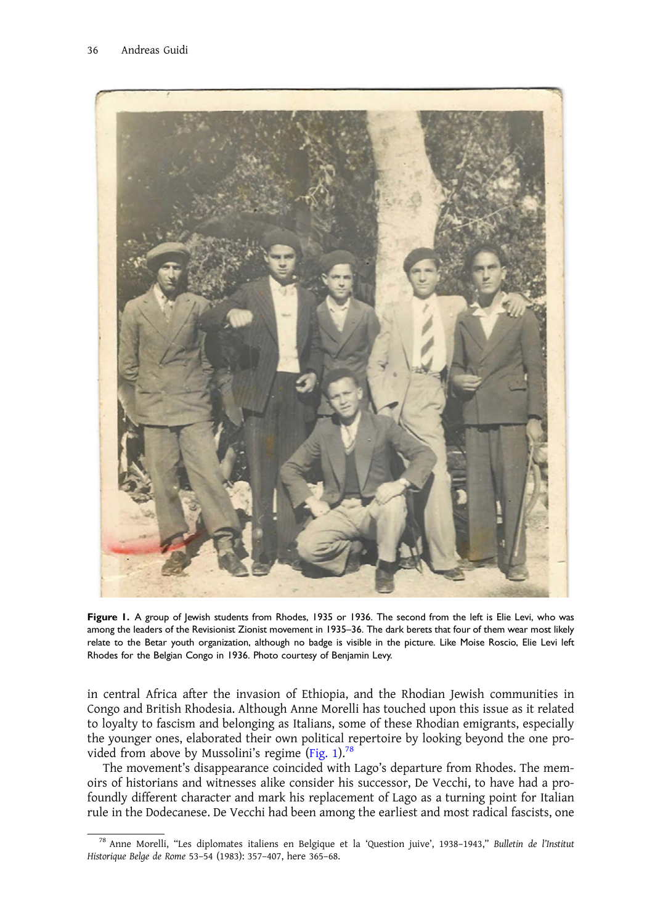

Figure 1. A group of Jewish students from Rhodes, 1935 or 1936. The second from the left is Elie Levi, who was among the leaders of the Revisionist Zionist movement in 1935–36. The dark berets that four of them wear most likely relate to the Betar youth organization, although no badge is visible in the picture. Like Moise Roscio, Elie Levi left Rhodes for the Belgian Congo in 1936. Photo courtesy of Benjamin Levy.

in central Africa after the invasion of Ethiopia, and the Rhodian Jewish communities in Congo and British Rhodesia. Although Anne Morelli has touched upon this issue as it related to loyalty to fascism and belonging as Italians, some of these Rhodian emigrants, especially the younger ones, elaborated their own political repertoire by looking beyond the one provided from above by Mussolini's regime (Fig. 1).<sup>78</sup>

The movement's disappearance coincided with Lago's departure from Rhodes. The memoirs of historians and witnesses alike consider his successor, De Vecchi, to have had a profoundly different character and mark his replacement of Lago as a turning point for Italian rule in the Dodecanese. De Vecchi had been among the earliest and most radical fascists, one

<sup>78</sup> Anne Morelli, "Les diplomates italiens en Belgique et la 'Question juive', 1938–1943," Bulletin de l'Institut Historique Belge de Rome 53–54 (1983): 357–407, here 365–68.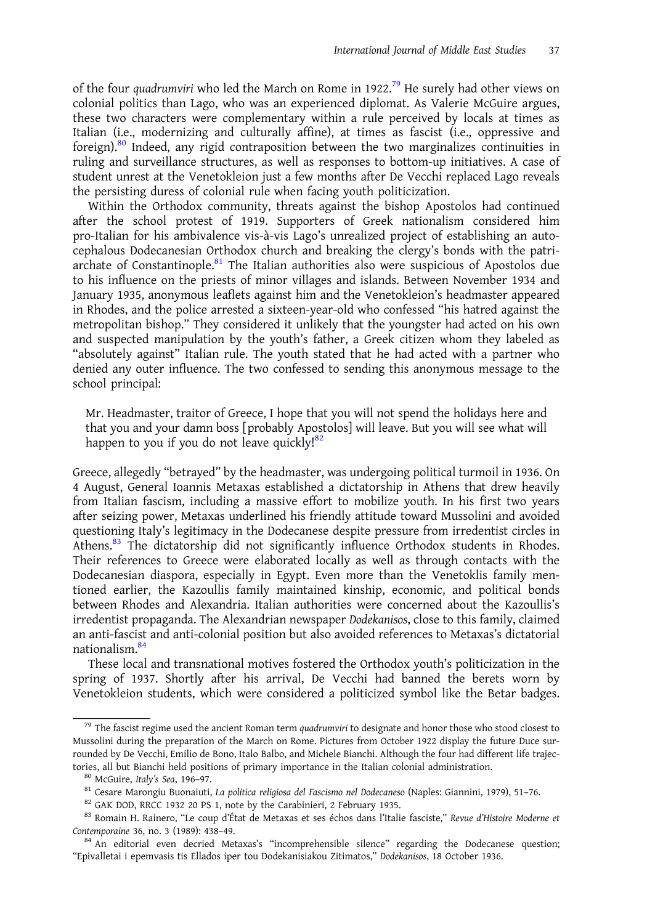of the four quadrumviri who led the March on Rome in 1922.<sup>79</sup> He surely had other views on colonial politics than Lago, who was an experienced diplomat. As Valerie McGuire argues, these two characters were complementary within a rule perceived by locals at times as Italian (i.e., modernizing and culturally affine), at times as fascist (i.e., oppressive and foreign).<sup>80</sup> Indeed, any rigid contraposition between the two marginalizes continuities in ruling and surveillance structures, as well as responses to bottom-up initiatives. A case of student unrest at the Venetokleion just a few months after De Vecchi replaced Lago reveals the persisting duress of colonial rule when facing youth politicization.

Within the Orthodox community, threats against the bishop Apostolos had continued after the school protest of 1919. Supporters of Greek nationalism considered him pro-Italian for his ambivalence vis-à-vis Lago's unrealized project of establishing an autocephalous Dodecanesian Orthodox church and breaking the clergy's bonds with the patriarchate of Constantinople. $81$  The Italian authorities also were suspicious of Apostolos due to his influence on the priests of minor villages and islands. Between November 1934 and January 1935, anonymous leaflets against him and the Venetokleion's headmaster appeared in Rhodes, and the police arrested a sixteen-year-old who confessed "his hatred against the metropolitan bishop." They considered it unlikely that the youngster had acted on his own and suspected manipulation by the youth's father, a Greek citizen whom they labeled as "absolutely against" Italian rule. The youth stated that he had acted with a partner who denied any outer influence. The two confessed to sending this anonymous message to the school principal:

Mr. Headmaster, traitor of Greece, I hope that you will not spend the holidays here and that you and your damn boss [probably Apostolos] will leave. But you will see what will happen to you if you do not leave quickly! $82$ 

Greece, allegedly "betrayed" by the headmaster, was undergoing political turmoil in 1936. On 4 August, General Ioannis Metaxas established a dictatorship in Athens that drew heavily from Italian fascism, including a massive effort to mobilize youth. In his first two years after seizing power, Metaxas underlined his friendly attitude toward Mussolini and avoided questioning Italy's legitimacy in the Dodecanese despite pressure from irredentist circles in Athens.<sup>83</sup> The dictatorship did not significantly influence Orthodox students in Rhodes. Their references to Greece were elaborated locally as well as through contacts with the Dodecanesian diaspora, especially in Egypt. Even more than the Venetoklis family mentioned earlier, the Kazoullis family maintained kinship, economic, and political bonds between Rhodes and Alexandria. Italian authorities were concerned about the Kazoullis's irredentist propaganda. The Alexandrian newspaper Dodekanisos, close to this family, claimed an anti-fascist and anti-colonial position but also avoided references to Metaxas's dictatorial nationalism.84

These local and transnational motives fostered the Orthodox youth's politicization in the spring of 1937. Shortly after his arrival, De Vecchi had banned the berets worn by Venetokleion students, which were considered a politicized symbol like the Betar badges.

<sup>&</sup>lt;sup>79</sup> The fascist regime used the ancient Roman term quadrumviri to designate and honor those who stood closest to Mussolini during the preparation of the March on Rome. Pictures from October 1922 display the future Duce surrounded by De Vecchi, Emilio de Bono, Italo Balbo, and Michele Bianchi. Although the four had different life trajectories, all but Bianchi held positions of primary importance in the Italian colonial administration.<br><sup>80</sup> McGuire, *Italy's Sea*, 196-97.<br><sup>81</sup> Cesare Marongiu Buonaiuti, *La politica religiosa del Fascismo nel Dodecaneso*

Contemporaine 36, no. 3 (1989): 438–49.<br><sup>84</sup> An editorial even decried Metaxas's "incomprehensible silence" regarding the Dodecanese question;

<sup>&</sup>quot;Epivalletai i epemvasis tis Ellados iper tou Dodekanisiakou Zitimatos," Dodekanisos, 18 October 1936.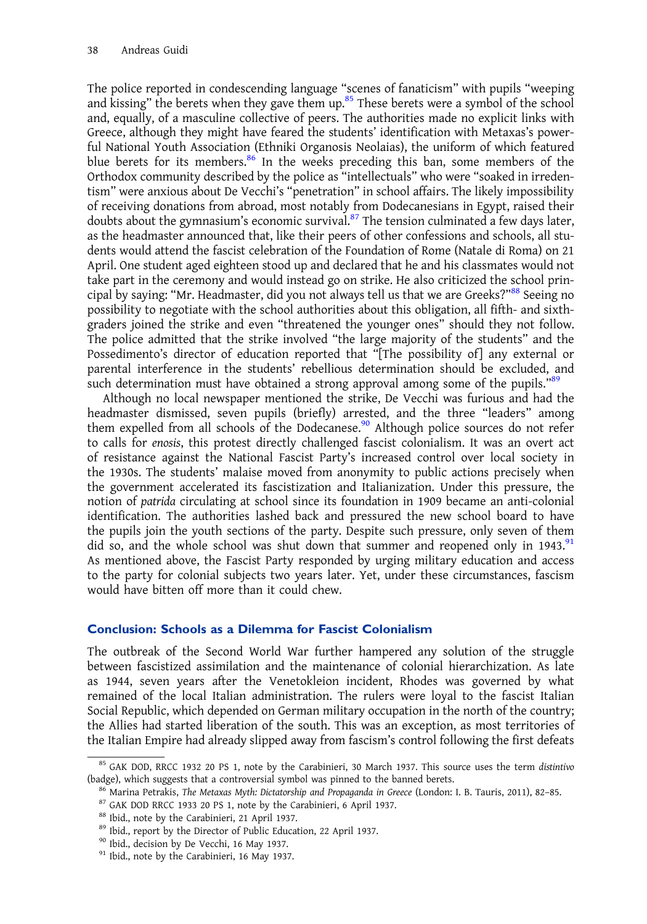The police reported in condescending language "scenes of fanaticism" with pupils "weeping and kissing" the berets when they gave them up. $85$  These berets were a symbol of the school and, equally, of a masculine collective of peers. The authorities made no explicit links with Greece, although they might have feared the students' identification with Metaxas's powerful National Youth Association (Ethniki Organosis Neolaias), the uniform of which featured blue berets for its members.<sup>86</sup> In the weeks preceding this ban, some members of the Orthodox community described by the police as "intellectuals" who were "soaked in irredentism" were anxious about De Vecchi's "penetration" in school affairs. The likely impossibility of receiving donations from abroad, most notably from Dodecanesians in Egypt, raised their doubts about the gymnasium's economic survival. $87$  The tension culminated a few days later, as the headmaster announced that, like their peers of other confessions and schools, all students would attend the fascist celebration of the Foundation of Rome (Natale di Roma) on 21 April. One student aged eighteen stood up and declared that he and his classmates would not take part in the ceremony and would instead go on strike. He also criticized the school principal by saying: "Mr. Headmaster, did you not always tell us that we are Greeks?" $^{88}$  Seeing no possibility to negotiate with the school authorities about this obligation, all fifth- and sixthgraders joined the strike and even "threatened the younger ones" should they not follow. The police admitted that the strike involved "the large majority of the students" and the Possedimento's director of education reported that "[The possibility of] any external or parental interference in the students' rebellious determination should be excluded, and such determination must have obtained a strong approval among some of the pupils."<sup>89</sup>

Although no local newspaper mentioned the strike, De Vecchi was furious and had the headmaster dismissed, seven pupils (briefly) arrested, and the three "leaders" among them expelled from all schools of the Dodecanese.<sup>90</sup> Although police sources do not refer to calls for enosis, this protest directly challenged fascist colonialism. It was an overt act of resistance against the National Fascist Party's increased control over local society in the 1930s. The students' malaise moved from anonymity to public actions precisely when the government accelerated its fascistization and Italianization. Under this pressure, the notion of patrida circulating at school since its foundation in 1909 became an anti-colonial identification. The authorities lashed back and pressured the new school board to have the pupils join the youth sections of the party. Despite such pressure, only seven of them did so, and the whole school was shut down that summer and reopened only in 1943. $91$ As mentioned above, the Fascist Party responded by urging military education and access to the party for colonial subjects two years later. Yet, under these circumstances, fascism would have bitten off more than it could chew.

#### Conclusion: Schools as a Dilemma for Fascist Colonialism

The outbreak of the Second World War further hampered any solution of the struggle between fascistized assimilation and the maintenance of colonial hierarchization. As late as 1944, seven years after the Venetokleion incident, Rhodes was governed by what remained of the local Italian administration. The rulers were loyal to the fascist Italian Social Republic, which depended on German military occupation in the north of the country; the Allies had started liberation of the south. This was an exception, as most territories of the Italian Empire had already slipped away from fascism's control following the first defeats

<sup>&</sup>lt;sup>85</sup> GAK DOD, RRCC 1932 20 PS 1, note by the Carabinieri, 30 March 1937. This source uses the term distintivo (badge), which suggests that a controversial symbol was pinned to the banned berets.<br><sup>86</sup> Marina Petrakis, *The Metaxas Myth: Dictatorship and Propaganda in Greece* (London: I. B. Tauris, 2011), 82–85.<br><sup>87</sup> GAK DOD RRCC 19